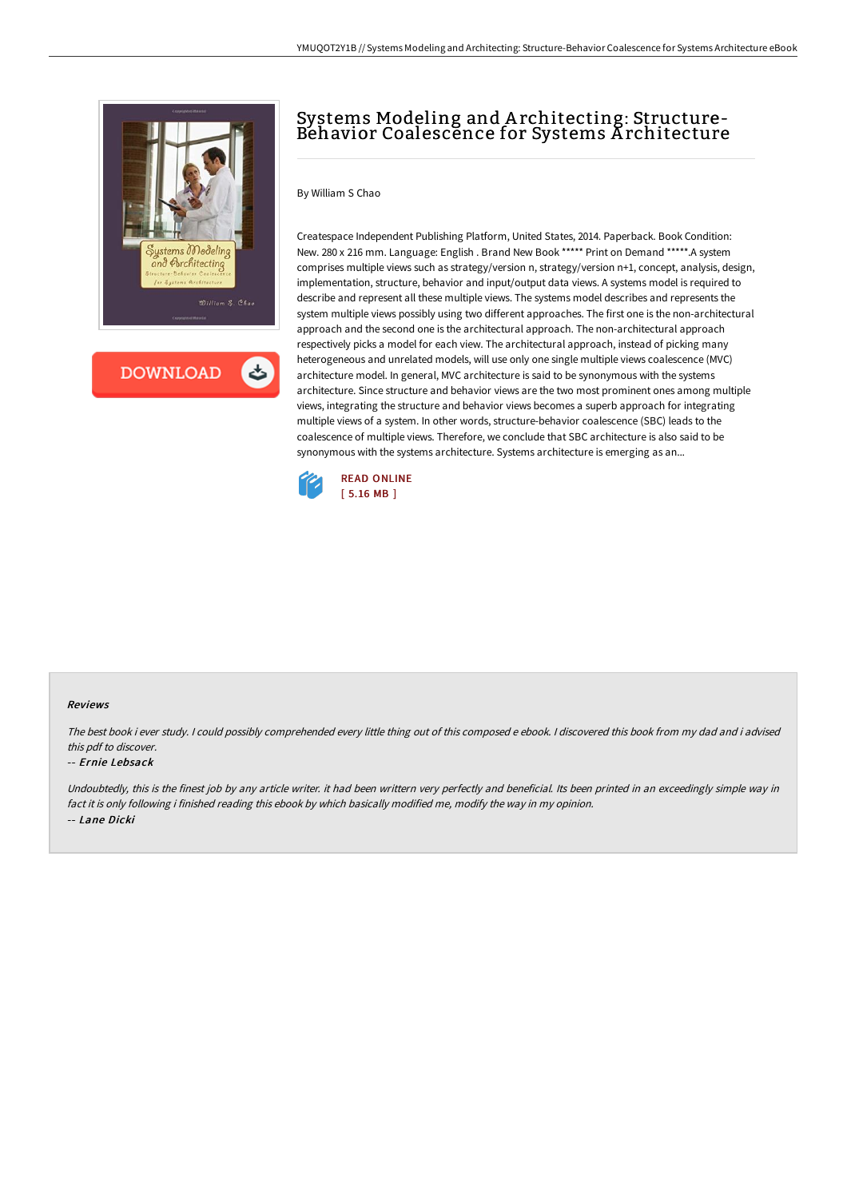

**DOWNLOAD** 

## Systems Modeling and A rchitecting: Structure-Behavior Coalescence for Systems A rchitecture

By William S Chao

Createspace Independent Publishing Platform, United States, 2014. Paperback. Book Condition: New. 280 x 216 mm. Language: English . Brand New Book \*\*\*\*\* Print on Demand \*\*\*\*\*.A system comprises multiple views such as strategy/version n, strategy/version n+1, concept, analysis, design, implementation, structure, behavior and input/output data views. A systems model is required to describe and represent all these multiple views. The systems model describes and represents the system multiple views possibly using two different approaches. The first one is the non-architectural approach and the second one is the architectural approach. The non-architectural approach respectively picks a model for each view. The architectural approach, instead of picking many heterogeneous and unrelated models, will use only one single multiple views coalescence (MVC) architecture model. In general, MVC architecture is said to be synonymous with the systems architecture. Since structure and behavior views are the two most prominent ones among multiple views, integrating the structure and behavior views becomes a superb approach for integrating multiple views of a system. In other words, structure-behavior coalescence (SBC) leads to the coalescence of multiple views. Therefore, we conclude that SBC architecture is also said to be synonymous with the systems architecture. Systems architecture is emerging as an...



## Reviews

The best book i ever study. <sup>I</sup> could possibly comprehended every little thing out of this composed <sup>e</sup> ebook. <sup>I</sup> discovered this book from my dad and i advised this pdf to discover.

## -- Ernie Lebsack

Undoubtedly, this is the finest job by any article writer. it had been writtern very perfectly and beneficial. Its been printed in an exceedingly simple way in fact it is only following i finished reading this ebook by which basically modified me, modify the way in my opinion. -- Lane Dicki